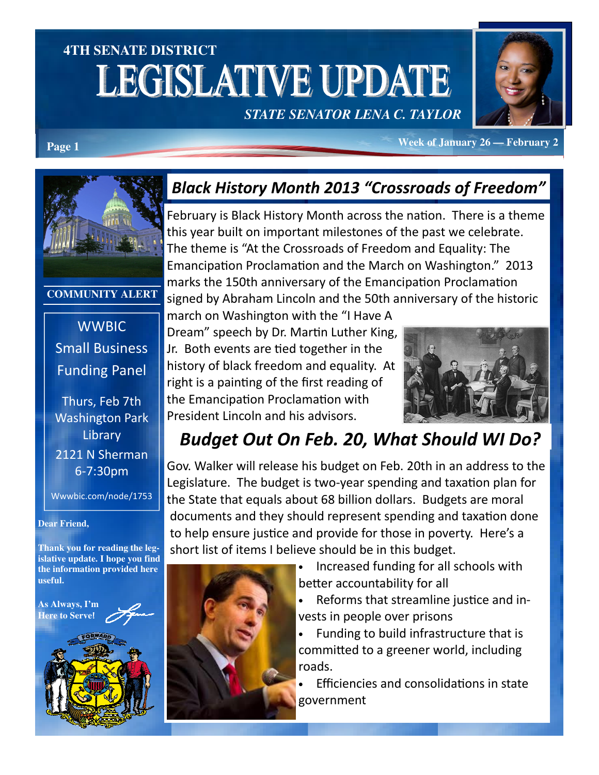# **4TH SENATE DISTRICT**  LEGISLATIVE UPDATE

#### *STATE SENATOR LENA C. TAYLOR*



**Page 1** *Page 1* **<b>Page 1** *Page 1 Page 1 Page 1 Page 1 Page 1 Page 1* **<b>***Page 1 Page 1 Page 1 Page 1 Page 1 Page 1 Page 1 Page 1 Page 11* **<b>***Page 11* **<b>***Page 11 Page* 



#### **COMMUNITY ALERT**

**WWBIC** Small Business Funding Panel

Thurs, Feb 7th Washington Park **Library** 2121 N Sherman 6-7:30pm

Wwwbic.com/node/1753

#### **Dear Friend,**

**Thank you for reading the legislative update. I hope you find the information provided here useful.** 



#### Black History Month 2013 "Crossroads of Freedom"

February is Black History Month across the nation. There is a theme this year built on important milestones of the past we celebrate. The theme is "At the Crossroads of Freedom and Equality: The Emancipation Proclamation and the March on Washington." 2013 marks the 150th anniversary of the Emancipation Proclamation signed by Abraham Lincoln and the 50th anniversary of the historic

march on Washington with the "I Have A Dream" speech by Dr. Martin Luther King, Jr. Both events are tied together in the history of black freedom and equality. At right is a painting of the first reading of the Emancipation Proclamation with President Lincoln and his advisors.



#### Budget Out On Feb. 20, What Should WI Do?

Gov. Walker will release his budget on Feb. 20th in an address to the Legislature. The budget is two-year spending and taxation plan for the State that equals about 68 billion dollars. Budgets are moral documents and they should represent spending and taxation done to help ensure justice and provide for those in poverty. Here's a short list of items I believe should be in this budget.



- Increased funding for all schools with better accountability for all
- Reforms that streamline justice and invests in people over prisons

• Funding to build infrastructure that is committed to a greener world, including roads.

Efficiencies and consolidations in state government